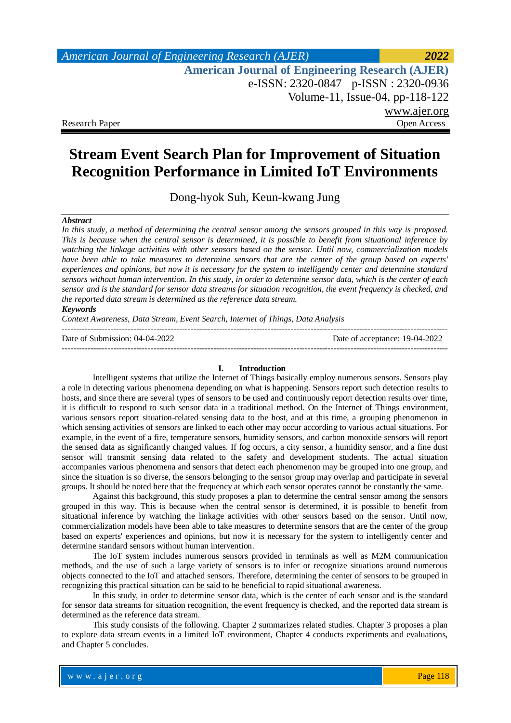# **Stream Event Search Plan for Improvement of Situation Recognition Performance in Limited IoT Environments**

Dong-hyok Suh, Keun-kwang Jung

### *Abstract*

*In this study, a method of determining the central sensor among the sensors grouped in this way is proposed. This is because when the central sensor is determined, it is possible to benefit from situational inference by watching the linkage activities with other sensors based on the sensor. Until now, commercialization models have been able to take measures to determine sensors that are the center of the group based on experts' experiences and opinions, but now it is necessary for the system to intelligently center and determine standard sensors without human intervention. In this study, in order to determine sensor data, which is the center of each sensor and is the standard for sensor data streams for situation recognition, the event frequency is checked, and the reported data stream is determined as the reference data stream.*

### *Keywords*

*Context Awareness, Data Stream, Event Search, Internet of Things, Data Analysis* 

--------------------------------------------------------------------------------------------------------------------------------------- Date of Submission: 04-04-2022 Date of acceptance: 19-04-2022

#### **I. Introduction**

---------------------------------------------------------------------------------------------------------------------------------------

Intelligent systems that utilize the Internet of Things basically employ numerous sensors. Sensors play a role in detecting various phenomena depending on what is happening. Sensors report such detection results to hosts, and since there are several types of sensors to be used and continuously report detection results over time, it is difficult to respond to such sensor data in a traditional method. On the Internet of Things environment, various sensors report situation-related sensing data to the host, and at this time, a grouping phenomenon in which sensing activities of sensors are linked to each other may occur according to various actual situations. For example, in the event of a fire, temperature sensors, humidity sensors, and carbon monoxide sensors will report the sensed data as significantly changed values. If fog occurs, a city sensor, a humidity sensor, and a fine dust sensor will transmit sensing data related to the safety and development students. The actual situation accompanies various phenomena and sensors that detect each phenomenon may be grouped into one group, and since the situation is so diverse, the sensors belonging to the sensor group may overlap and participate in several groups. It should be noted here that the frequency at which each sensor operates cannot be constantly the same.

Against this background, this study proposes a plan to determine the central sensor among the sensors grouped in this way. This is because when the central sensor is determined, it is possible to benefit from situational inference by watching the linkage activities with other sensors based on the sensor. Until now, commercialization models have been able to take measures to determine sensors that are the center of the group based on experts' experiences and opinions, but now it is necessary for the system to intelligently center and determine standard sensors without human intervention.

The IoT system includes numerous sensors provided in terminals as well as M2M communication methods, and the use of such a large variety of sensors is to infer or recognize situations around numerous objects connected to the IoT and attached sensors. Therefore, determining the center of sensors to be grouped in recognizing this practical situation can be said to be beneficial to rapid situational awareness.

In this study, in order to determine sensor data, which is the center of each sensor and is the standard for sensor data streams for situation recognition, the event frequency is checked, and the reported data stream is determined as the reference data stream.

This study consists of the following. Chapter 2 summarizes related studies. Chapter 3 proposes a plan to explore data stream events in a limited IoT environment, Chapter 4 conducts experiments and evaluations, and Chapter 5 concludes.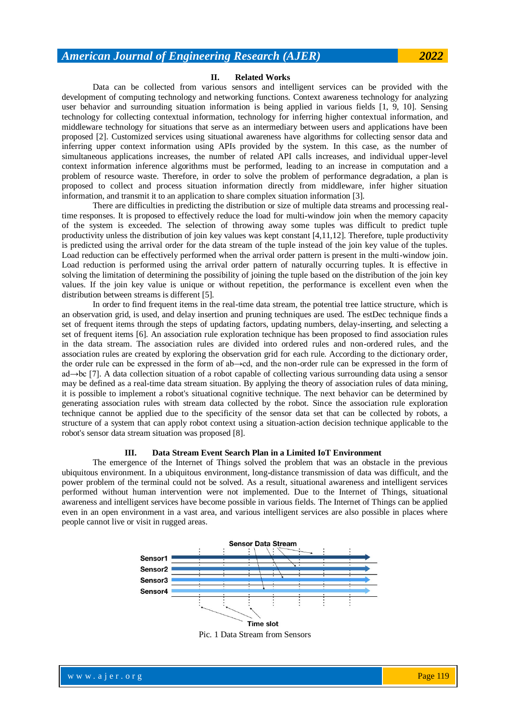#### **II. Related Works**

Data can be collected from various sensors and intelligent services can be provided with the development of computing technology and networking functions. Context awareness technology for analyzing user behavior and surrounding situation information is being applied in various fields [1, 9, 10]. Sensing technology for collecting contextual information, technology for inferring higher contextual information, and middleware technology for situations that serve as an intermediary between users and applications have been proposed [2]. Customized services using situational awareness have algorithms for collecting sensor data and inferring upper context information using APIs provided by the system. In this case, as the number of simultaneous applications increases, the number of related API calls increases, and individual upper-level context information inference algorithms must be performed, leading to an increase in computation and a problem of resource waste. Therefore, in order to solve the problem of performance degradation, a plan is proposed to collect and process situation information directly from middleware, infer higher situation information, and transmit it to an application to share complex situation information [3].

There are difficulties in predicting the distribution or size of multiple data streams and processing realtime responses. It is proposed to effectively reduce the load for multi-window join when the memory capacity of the system is exceeded. The selection of throwing away some tuples was difficult to predict tuple productivity unless the distribution of join key values was kept constant [4,11,12]. Therefore, tuple productivity is predicted using the arrival order for the data stream of the tuple instead of the join key value of the tuples. Load reduction can be effectively performed when the arrival order pattern is present in the multi-window join. Load reduction is performed using the arrival order pattern of naturally occurring tuples. It is effective in solving the limitation of determining the possibility of joining the tuple based on the distribution of the join key values. If the join key value is unique or without repetition, the performance is excellent even when the distribution between streams is different [5].

In order to find frequent items in the real-time data stream, the potential tree lattice structure, which is an observation grid, is used, and delay insertion and pruning techniques are used. The estDec technique finds a set of frequent items through the steps of updating factors, updating numbers, delay-inserting, and selecting a set of frequent items [6]. An association rule exploration technique has been proposed to find association rules in the data stream. The association rules are divided into ordered rules and non-ordered rules, and the association rules are created by exploring the observation grid for each rule. According to the dictionary order, the order rule can be expressed in the form of ab→cd, and the non-order rule can be expressed in the form of ad→bc [7]. A data collection situation of a robot capable of collecting various surrounding data using a sensor may be defined as a real-time data stream situation. By applying the theory of association rules of data mining, it is possible to implement a robot's situational cognitive technique. The next behavior can be determined by generating association rules with stream data collected by the robot. Since the association rule exploration technique cannot be applied due to the specificity of the sensor data set that can be collected by robots, a structure of a system that can apply robot context using a situation-action decision technique applicable to the robot's sensor data stream situation was proposed [8].

#### **III. Data Stream Event Search Plan in a Limited IoT Environment**

The emergence of the Internet of Things solved the problem that was an obstacle in the previous ubiquitous environment. In a ubiquitous environment, long-distance transmission of data was difficult, and the power problem of the terminal could not be solved. As a result, situational awareness and intelligent services performed without human intervention were not implemented. Due to the Internet of Things, situational awareness and intelligent services have become possible in various fields. The Internet of Things can be applied even in an open environment in a vast area, and various intelligent services are also possible in places where people cannot live or visit in rugged areas.



Pic. 1 Data Stream from Sensors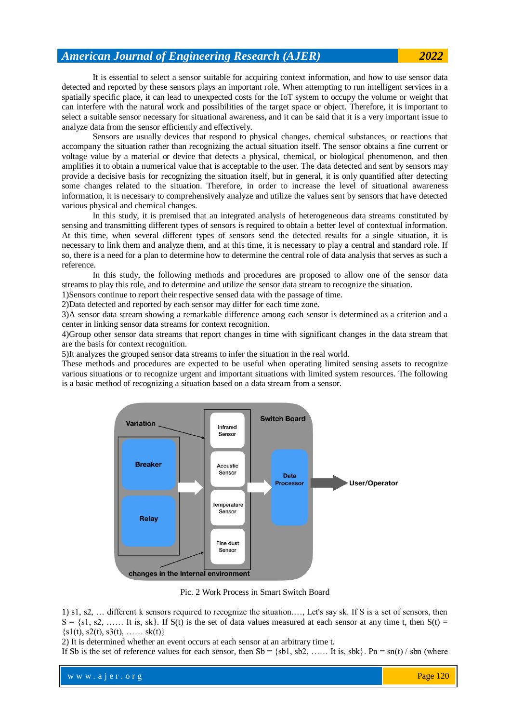It is essential to select a sensor suitable for acquiring context information, and how to use sensor data detected and reported by these sensors plays an important role. When attempting to run intelligent services in a spatially specific place, it can lead to unexpected costs for the IoT system to occupy the volume or weight that can interfere with the natural work and possibilities of the target space or object. Therefore, it is important to select a suitable sensor necessary for situational awareness, and it can be said that it is a very important issue to analyze data from the sensor efficiently and effectively.

Sensors are usually devices that respond to physical changes, chemical substances, or reactions that accompany the situation rather than recognizing the actual situation itself. The sensor obtains a fine current or voltage value by a material or device that detects a physical, chemical, or biological phenomenon, and then amplifies it to obtain a numerical value that is acceptable to the user. The data detected and sent by sensors may provide a decisive basis for recognizing the situation itself, but in general, it is only quantified after detecting some changes related to the situation. Therefore, in order to increase the level of situational awareness information, it is necessary to comprehensively analyze and utilize the values sent by sensors that have detected various physical and chemical changes.

In this study, it is premised that an integrated analysis of heterogeneous data streams constituted by sensing and transmitting different types of sensors is required to obtain a better level of contextual information. At this time, when several different types of sensors send the detected results for a single situation, it is necessary to link them and analyze them, and at this time, it is necessary to play a central and standard role. If so, there is a need for a plan to determine how to determine the central role of data analysis that serves as such a reference.

In this study, the following methods and procedures are proposed to allow one of the sensor data streams to play this role, and to determine and utilize the sensor data stream to recognize the situation.

1)Sensors continue to report their respective sensed data with the passage of time.

2)Data detected and reported by each sensor may differ for each time zone.

3)A sensor data stream showing a remarkable difference among each sensor is determined as a criterion and a center in linking sensor data streams for context recognition.

4)Group other sensor data streams that report changes in time with significant changes in the data stream that are the basis for context recognition.

5)It analyzes the grouped sensor data streams to infer the situation in the real world.

These methods and procedures are expected to be useful when operating limited sensing assets to recognize various situations or to recognize urgent and important situations with limited system resources. The following is a basic method of recognizing a situation based on a data stream from a sensor.



Pic. 2 Work Process in Smart Switch Board

1) s1, s2, … different k sensors required to recognize the situation.…, Let's say sk. If S is a set of sensors, then  $S = \{s_1, s_2, \ldots, s_k\}$ . It is, sk Eq. (i) is the set of data values measured at each sensor at any time t, then  $S(t) =$  $\{s1(t), s2(t), s3(t), \ldots, sk(t)\}\$ 

2) It is determined whether an event occurs at each sensor at an arbitrary time t.

If Sb is the set of reference values for each sensor, then  $Sb = \{sb1, sb2, \ldots, \text{It is, } sbk\}$ . Pn = sn(t) / sbn (where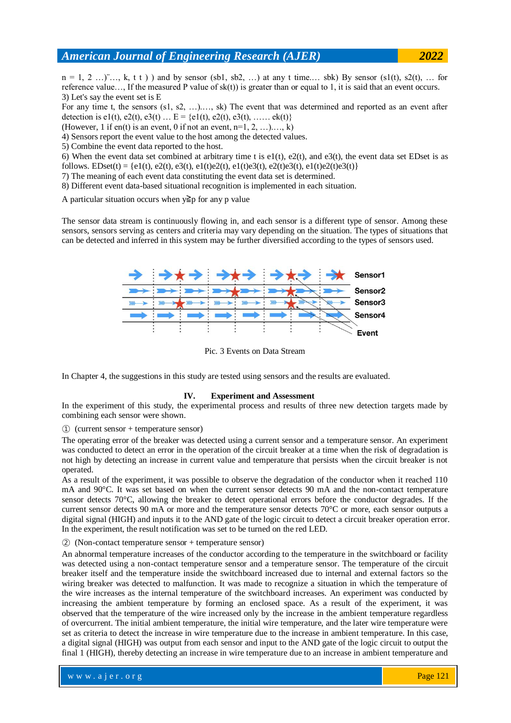$n = 1, 2, \ldots, K, t \cdot t$ ) and by sensor (sb1, sb2, ...) at any t time.... sbk) By sensor (s1(t), s2(t), ... for reference value..., If the measured P value of  $sk(t)$  is greater than or equal to 1, it is said that an event occurs. 3) Let's say the event set is E

For any time t, the sensors (s1, s2, …).…, sk) The event that was determined and reported as an event after detection is e1(t), e2(t), e3(t) … E = {e1(t), e2(t), e3(t), …… ek(t)}

(However, 1 if en(t) is an event, 0 if not an event,  $n=1, 2, ...$ )..., k)

4) Sensors report the event value to the host among the detected values.

5) Combine the event data reported to the host.

6) When the event data set combined at arbitrary time t is e1(t), e2(t), and e3(t), the event data set EDset is as follows. EDset(t) = {e1(t), e2(t), e3(t), e1(t)e2(t), e1(t)e3(t), e2(t)e3(t), e1(t)e2(t)e3(t)}

7) The meaning of each event data constituting the event data set is determined.

8) Different event data-based situational recognition is implemented in each situation.

A particular situation occurs when  $y \geq p$  for any p value

The sensor data stream is continuously flowing in, and each sensor is a different type of sensor. Among these sensors, sensors serving as centers and criteria may vary depending on the situation. The types of situations that can be detected and inferred in this system may be further diversified according to the types of sensors used.



Pic. 3 Events on Data Stream

In Chapter 4, the suggestions in this study are tested using sensors and the results are evaluated.

### **IV. Experiment and Assessment**

In the experiment of this study, the experimental process and results of three new detection targets made by combining each sensor were shown.

① (current sensor + temperature sensor)

The operating error of the breaker was detected using a current sensor and a temperature sensor. An experiment was conducted to detect an error in the operation of the circuit breaker at a time when the risk of degradation is not high by detecting an increase in current value and temperature that persists when the circuit breaker is not operated.

As a result of the experiment, it was possible to observe the degradation of the conductor when it reached 110 mA and 90°C. It was set based on when the current sensor detects 90 mA and the non-contact temperature sensor detects 70°C, allowing the breaker to detect operational errors before the conductor degrades. If the current sensor detects 90 mA or more and the temperature sensor detects 70°C or more, each sensor outputs a digital signal (HIGH) and inputs it to the AND gate of the logic circuit to detect a circuit breaker operation error. In the experiment, the result notification was set to be turned on the red LED.

② (Non-contact temperature sensor + temperature sensor)

An abnormal temperature increases of the conductor according to the temperature in the switchboard or facility was detected using a non-contact temperature sensor and a temperature sensor. The temperature of the circuit breaker itself and the temperature inside the switchboard increased due to internal and external factors so the wiring breaker was detected to malfunction. It was made to recognize a situation in which the temperature of the wire increases as the internal temperature of the switchboard increases. An experiment was conducted by increasing the ambient temperature by forming an enclosed space. As a result of the experiment, it was observed that the temperature of the wire increased only by the increase in the ambient temperature regardless of overcurrent. The initial ambient temperature, the initial wire temperature, and the later wire temperature were set as criteria to detect the increase in wire temperature due to the increase in ambient temperature. In this case, a digital signal (HIGH) was output from each sensor and input to the AND gate of the logic circuit to output the final 1 (HIGH), thereby detecting an increase in wire temperature due to an increase in ambient temperature and